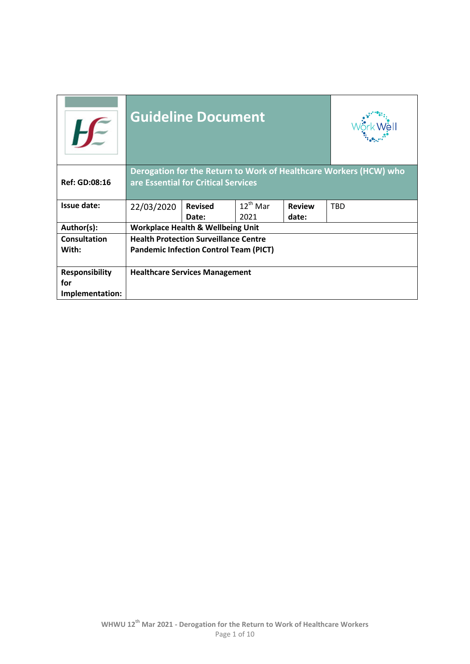| $H^{\mathbb{C}}$                                | <b>Guideline Document</b>                                                                                |                                                                |  |  |  |  |  |  |  |
|-------------------------------------------------|----------------------------------------------------------------------------------------------------------|----------------------------------------------------------------|--|--|--|--|--|--|--|
| <b>Ref: GD:08:16</b>                            | Derogation for the Return to Work of Healthcare Workers (HCW) who<br>are Essential for Critical Services |                                                                |  |  |  |  |  |  |  |
| Issue date:                                     | 22/03/2020                                                                                               | $12^{th}$ Mar<br><b>Review</b><br><b>TBD</b><br><b>Revised</b> |  |  |  |  |  |  |  |
|                                                 |                                                                                                          | 2021<br>date:<br>Date:                                         |  |  |  |  |  |  |  |
| Author(s):                                      |                                                                                                          | <b>Workplace Health &amp; Wellbeing Unit</b>                   |  |  |  |  |  |  |  |
| <b>Consultation</b>                             |                                                                                                          | <b>Health Protection Surveillance Centre</b>                   |  |  |  |  |  |  |  |
| With:                                           | <b>Pandemic Infection Control Team (PICT)</b>                                                            |                                                                |  |  |  |  |  |  |  |
| <b>Responsibility</b><br>for<br>Implementation: | <b>Healthcare Services Management</b>                                                                    |                                                                |  |  |  |  |  |  |  |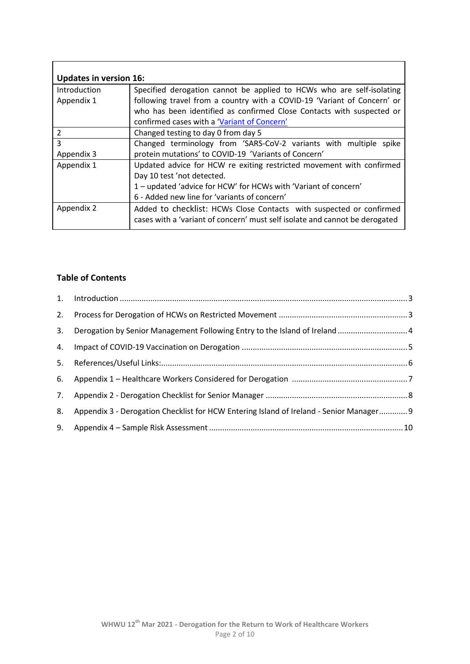| <b>Updates in version 16:</b> |                                                                             |
|-------------------------------|-----------------------------------------------------------------------------|
| Introduction                  | Specified derogation cannot be applied to HCWs who are self-isolating       |
| Appendix 1                    | following travel from a country with a COVID-19 'Variant of Concern' or     |
|                               | who has been identified as confirmed Close Contacts with suspected or       |
|                               | confirmed cases with a 'Variant of Concern'                                 |
| $\mathcal{P}$                 | Changed testing to day 0 from day 5                                         |
| 3                             | Changed terminology from 'SARS-CoV-2 variants with multiple spike           |
| Appendix 3                    | protein mutations' to COVID-19 'Variants of Concern'                        |
| Appendix 1                    | Updated advice for HCW re exiting restricted movement with confirmed        |
|                               | Day 10 test 'not detected.                                                  |
|                               | 1 – updated 'advice for HCW' for HCWs with 'Variant of concern'             |
|                               | 6 - Added new line for 'variants of concern'                                |
| Appendix 2                    | Added to checklist: HCWs Close Contacts with suspected or confirmed         |
|                               | cases with a 'variant of concern' must self isolate and cannot be derogated |

### **Table of Contents**

| 2. |                                                                                         |  |
|----|-----------------------------------------------------------------------------------------|--|
| 3. |                                                                                         |  |
| 4. |                                                                                         |  |
| 5. |                                                                                         |  |
| 6. |                                                                                         |  |
| 7. |                                                                                         |  |
| 8. | Appendix 3 - Derogation Checklist for HCW Entering Island of Ireland - Senior Manager 9 |  |
| 9. |                                                                                         |  |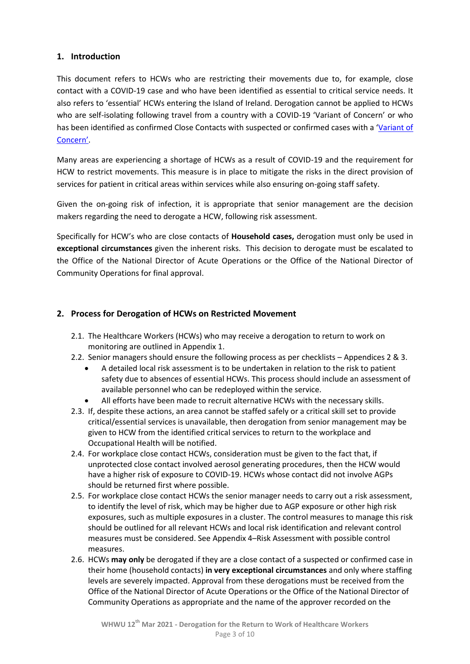#### <span id="page-2-0"></span>**1. Introduction**

This document refers to HCWs who are restricting their movements due to, for example, close contact with a COVID-19 case and who have been identified as essential to critical service needs. It also refers to 'essential' HCWs entering the Island of Ireland. Derogation cannot be applied to HCWs who are self-isolating following travel from a country with a COVID-19 'Variant of Concern' or who has been identified as confirmed Close Contacts with suspected or confirmed cases with a 'Variant of C[oncern'](https://www.hpsc.ie/a-z/respiratory/coronavirus/novelcoronavirus/sars-cov-2variantsofconcern/).

Many areas are experiencing a shortage of HCWs as a result of COVID-19 and the requirement for HCW to restrict movements. This measure is in place to mitigate the risks in the direct provision of services for patient in critical areas within services while also ensuring on-going staff safety.

Given the on-going risk of infection, it is appropriate that senior management are the decision makers regarding the need to derogate a HCW, following risk assessment.

Specifically for HCW's who are close contacts of **Household cases,** derogation must only be used in **exceptional circumstances** given the inherent risks. This decision to derogate must be escalated to the Office of the National Director of Acute Operations or the Office of the National Director of Community Operations for final approval.

#### <span id="page-2-1"></span>**2. Process for Derogation of HCWs on Restricted Movement**

- 2.1. The Healthcare Workers (HCWs) who may receive a derogation to return to work on monitoring are outlined in Appendix 1.
- 2.2. Senior managers should ensure the following process as per checklists Appendices 2 & 3.
	- A detailed local risk assessment is to be undertaken in relation to the risk to patient safety due to absences of essential HCWs. This process should include an assessment of available personnel who can be redeployed within the service.
	- All efforts have been made to recruit alternative HCWs with the necessary skills.
- 2.3. If, despite these actions, an area cannot be staffed safely or a critical skill set to provide critical/essential services is unavailable, then derogation from senior management may be given to HCW from the identified critical services to return to the workplace and Occupational Health will be notified.
- 2.4. For workplace close contact HCWs, consideration must be given to the fact that, if unprotected close contact involved aerosol generating procedures, then the HCW would have a higher risk of exposure to COVID-19. HCWs whose contact did not involve AGPs should be returned first where possible.
- 2.5. For workplace close contact HCWs the senior manager needs to carry out a risk assessment, to identify the level of risk, which may be higher due to AGP exposure or other high risk exposures, such as multiple exposures in a cluster. The control measures to manage this risk should be outlined for all relevant HCWs and local risk identification and relevant control measures must be considered. See Appendix 4–Risk Assessment with possible control measures.
- 2.6. HCWs **may only** be derogated if they are a close contact of a suspected or confirmed case in their home (household contacts) **in very exceptional circumstances** and only where staffing levels are severely impacted. Approval from these derogations must be received from the Office of the National Director of Acute Operations or the Office of the National Director of Community Operations as appropriate and the name of the approver recorded on the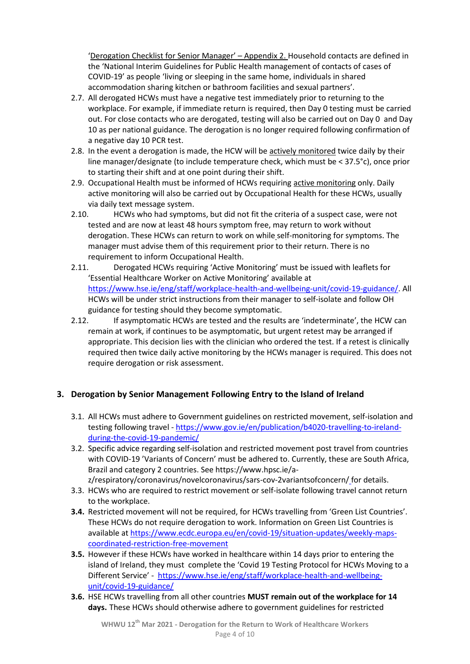'Derogation Checklist for Senior Manager' – Appendix 2. Household contacts are defined in the 'National Interim Guidelines for Public Health management of contacts of cases of COVID-19' as people 'living or sleeping in the same home, individuals in shared accommodation sharing kitchen or bathroom facilities and sexual partners'.

- 2.7. All derogated HCWs must have a negative test immediately prior to returning to the workplace. For example, if immediate return is required, then Day 0 testing must be carried out. For close contacts who are derogated, testing will also be carried out on Day 0 and Day 10 as per national guidance. The derogation is no longer required following confirmation of a negative day 10 PCR test.
- 2.8. In the event a derogation is made, the HCW will be actively monitored twice daily by their line manager/designate (to include temperature check, which must be < 37.5°c), once prior to starting their shift and at one point during their shift.
- 2.9. Occupational Health must be informed of HCWs requiring active monitoring only. Daily active monitoring will also be carried out by Occupational Health for these HCWs, usually via daily text message system.
- 2.10. HCWs who had symptoms, but did not fit the criteria of a suspect case, were not tested and are now at least 48 hours symptom free, may return to work without derogation. These HCWs can return to work on while self-monitoring for symptoms. The manager must advise them of this requirement prior to their return. There is no requirement to inform Occupational Health.
- 2.11. Derogated HCWs requiring 'Active Monitoring' must be issued with leaflets for 'Essential Healthcare Worker on Active Monitoring' available at [https://www.hse.ie/eng/staff/workplace-health-and-wellbeing-unit/covid-19-guidance/.](https://www.hse.ie/eng/staff/workplace-health-and-wellbeing-unit/covid-19-guidance/) All HCWs will be under strict instructions from their manager to self-isolate and follow OH guidance for testing should they become symptomatic.
- 2.12. If asymptomatic HCWs are tested and the results are 'indeterminate', the HCW can remain at work, if continues to be asymptomatic, but urgent retest may be arranged if appropriate. This decision lies with the clinician who ordered the test. If a retest is clinically required then twice daily active monitoring by the HCWs manager is required. This does not require derogation or risk assessment.

## <span id="page-3-0"></span>**3. Derogation by Senior Management Following Entry to the Island of Ireland**

- 3.1. All HCWs must adhere to Government guidelines on restricted movement, self-isolation and testing following travel - [https://www.gov.ie/en/publication/b4020-travelling-to-ireland](https://www.gov.ie/en/publication/b4020-travelling-to-ireland-during-the-covid-19-pandemic/)[during-the-covid-19-pandemic/](https://www.gov.ie/en/publication/b4020-travelling-to-ireland-during-the-covid-19-pandemic/)
- 3.2. Specific advice regarding self-isolation and restricted movement post travel from countries with COVID-19 'Variants of Concern' must be adhered to. Currently, these are South Africa, Brazil and category 2 countries. See https://www.hpsc.ie/az/respiratory/coronavirus/novelcoronavirus/sars-cov-2variantsofconcern/ for details.
- 3.3. HCWs who are required to restrict movement or self-isolate following travel cannot return to the workplace.
- **3.4.** Restricted movement will not be required, for HCWs travelling from 'Green List Countries'. These HCWs do not require derogation to work. Information on Green List Countries is available at [https://www.ecdc.europa.eu/en/covid-19/situation-updates/weekly-maps](https://www.ecdc.europa.eu/en/covid-19/situation-updates/weekly-maps-coordinated-restriction-free-movement)[coordinated-restriction-free-movement](https://www.ecdc.europa.eu/en/covid-19/situation-updates/weekly-maps-coordinated-restriction-free-movement)
- **3.5.** However if these HCWs have worked in healthcare within 14 days prior to entering the island of Ireland, they must complete the 'Covid 19 Testing Protocol for HCWs Moving to a Different Service' - [https://www.hse.ie/eng/staff/workplace-health-and-wellbeing](https://www.hse.ie/eng/staff/workplace-health-and-wellbeing-unit/covid-19-guidance/)[unit/covid-19-guidance/](https://www.hse.ie/eng/staff/workplace-health-and-wellbeing-unit/covid-19-guidance/)
- **3.6.** HSE HCWs travelling from all other countries **MUST remain out of the workplace for 14 days.** These HCWs should otherwise adhere to government guidelines for restricted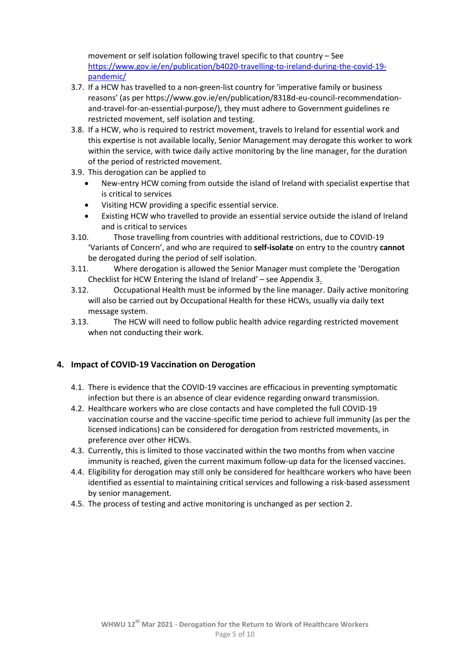movement or self isolation following travel specific to that country – See [https://www.gov.ie/en/publication/b4020-travelling-to-ireland-during-the-covid-19](https://www.gov.ie/en/publication/b4020-travelling-to-ireland-during-the-covid-19-pandemic/) [pandemic/](https://www.gov.ie/en/publication/b4020-travelling-to-ireland-during-the-covid-19-pandemic/)

- 3.7. If a HCW has travelled to a non-green-list country for 'imperative family or business reasons' (as per https://www.gov.ie/en/publication/8318d-eu-council-recommendationand-travel-for-an-essential-purpose/), they must adhere to Government guidelines re restricted movement, self isolation and testing.
- 3.8. If a HCW, who is required to restrict movement, travels to Ireland for essential work and this expertise is not available locally, Senior Management may derogate this worker to work within the service, with twice daily active monitoring by the line manager, for the duration of the period of restricted movement.
- 3.9. This derogation can be applied to
	- New-entry HCW coming from outside the island of Ireland with specialist expertise that is critical to services
	- Visiting HCW providing a specific essential service.
	- Existing HCW who travelled to provide an essential service outside the island of Ireland and is critical to services
- 3.10. Those travelling from countries with additional restrictions, due to COVID-19 'Variants of Concern', and who are required to **self-isolate** on entry to the country **cannot** be derogated during the period of self isolation.
- 3.11. Where derogation is allowed the Senior Manager must complete the 'Derogation Checklist for HCW Entering the Island of Ireland' – see Appendix 3.
- 3.12. Occupational Health must be informed by the line manager. Daily active monitoring will also be carried out by Occupational Health for these HCWs, usually via daily text message system.
- 3.13. The HCW will need to follow public health advice regarding restricted movement when not conducting their work.

## <span id="page-4-0"></span>**4. Impact of COVID-19 Vaccination on Derogation**

- 4.1. There is evidence that the COVID-19 vaccines are efficacious in preventing symptomatic infection but there is an absence of clear evidence regarding onward transmission.
- 4.2. Healthcare workers who are close contacts and have completed the full COVID-19 vaccination course and the vaccine-specific time period to achieve full immunity (as per the licensed indications) can be considered for derogation from restricted movements, in preference over other HCWs.
- 4.3. Currently, this is limited to those vaccinated within the two months from when vaccine immunity is reached, given the current maximum follow-up data for the licensed vaccines.
- 4.4. Eligibility for derogation may still only be considered for healthcare workers who have been identified as essential to maintaining critical services and following a risk-based assessment by senior management.
- 4.5. The process of testing and active monitoring is unchanged as per section 2.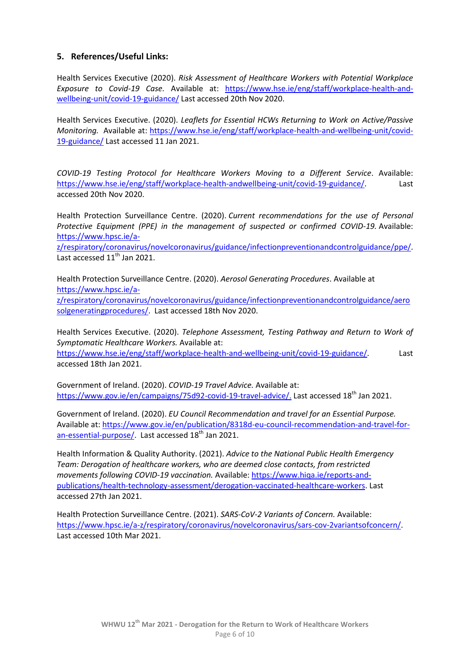### <span id="page-5-0"></span>**5. References/Useful Links:**

Health Services Executive (2020). *Risk Assessment of Healthcare Workers with Potential Workplace Exposure to Covid-19 Case.* Available at: [https://www.hse.ie/eng/staff/workplace-health-and](https://www.hse.ie/eng/staff/workplace-health-and-wellbeing-unit/covid-19-guidance/)[wellbeing-unit/covid-19-guidance/](https://www.hse.ie/eng/staff/workplace-health-and-wellbeing-unit/covid-19-guidance/) Last accessed 20th Nov 2020.

Health Services Executive. (2020). *Leaflets for Essential HCWs Returning to Work on Active/Passive Monitoring.* Available at: [https://www.hse.ie/eng/staff/workplace-health-and-wellbeing-unit/covid-](https://www.hse.ie/eng/staff/workplace-health-and-wellbeing-unit/covid-19-guidance/)[19-guidance/](https://www.hse.ie/eng/staff/workplace-health-and-wellbeing-unit/covid-19-guidance/) Last accessed 11 Jan 2021.

*COVID-19 Testing Protocol for Healthcare Workers Moving to a Different Service*. Available: [https://www.hse.ie/eng/staff/workplace-health-andwellbeing-unit/covid-19-guidance/.](https://www.hse.ie/eng/staff/workplace-health-andwellbeing-unit/covid-19-guidance/) Last accessed 20th Nov 2020.

Health Protection Surveillance Centre. (2020). *Current recommendations for the use of Personal Protective Equipment (PPE) in the management of suspected or confirmed COVID-19.* Available: [https://www.hpsc.ie/a-](https://www.hpsc.ie/a-z/respiratory/coronavirus/novelcoronavirus/guidance/infectionpreventionandcontrolguidance/ppe/)

[z/respiratory/coronavirus/novelcoronavirus/guidance/infectionpreventionandcontrolguidance/ppe/.](https://www.hpsc.ie/a-z/respiratory/coronavirus/novelcoronavirus/guidance/infectionpreventionandcontrolguidance/ppe/) Last accessed 11<sup>th</sup> Jan 2021.

Health Protection Surveillance Centre. (2020). *Aerosol Generating Procedures*. Available at [https://www.hpsc.ie/a-](https://www.hpsc.ie/a-z/respiratory/coronavirus/novelcoronavirus/guidance/infectionpreventionandcontrolguidance/aerosolgeneratingprocedures/)

[z/respiratory/coronavirus/novelcoronavirus/guidance/infectionpreventionandcontrolguidance/aero](https://www.hpsc.ie/a-z/respiratory/coronavirus/novelcoronavirus/guidance/infectionpreventionandcontrolguidance/aerosolgeneratingprocedures/) [solgeneratingprocedures/.](https://www.hpsc.ie/a-z/respiratory/coronavirus/novelcoronavirus/guidance/infectionpreventionandcontrolguidance/aerosolgeneratingprocedures/) Last accessed 18th Nov 2020.

Health Services Executive. (2020). *Telephone Assessment, Testing Pathway and Return to Work of Symptomatic Healthcare Workers.* Available at:

[https://www.hse.ie/eng/staff/workplace-health-and-wellbeing-unit/covid-19-guidance/.](https://www.hse.ie/eng/staff/workplace-health-and-wellbeing-unit/covid-19-guidance/) Last accessed 18th Jan 2021.

Government of Ireland. (2020). *COVID-19 Travel Advice.* Available at: [https://www.gov.ie/en/campaigns/75d92-covid-19-travel-advice/.](https://www.gov.ie/en/campaigns/75d92-covid-19-travel-advice/) Last accessed 18<sup>th</sup> Jan 2021.

Government of Ireland. (2020). *EU Council Recommendation and travel for an Essential Purpose.*  Available at[: https://www.gov.ie/en/publication/8318d-eu-council-recommendation-and-travel-for](https://www.gov.ie/en/publication/8318d-eu-council-recommendation-and-travel-for-an-essential-purpose/)[an-essential-purpose/.](https://www.gov.ie/en/publication/8318d-eu-council-recommendation-and-travel-for-an-essential-purpose/) Last accessed 18<sup>th</sup> Jan 2021.

Health Information & Quality Authority. (2021). *Advice to the National Public Health Emergency Team: Derogation of healthcare workers, who are deemed close contacts, from restricted movements following COVID-19 vaccination.* Available[: https://www.hiqa.ie/reports-and](https://www.hiqa.ie/reports-and-publications/health-technology-assessment/derogation-vaccinated-healthcare-workers)[publications/health-technology-assessment/derogation-vaccinated-healthcare-workers.](https://www.hiqa.ie/reports-and-publications/health-technology-assessment/derogation-vaccinated-healthcare-workers) Last accessed 27th Jan 2021.

Health Protection Surveillance Centre. (2021). *SARS-CoV-2 Variants of Concern.* Available: [https://www.hpsc.ie/a-z/respiratory/coronavirus/novelcoronavirus/sars-cov-2variantsofconcern/.](https://www.hpsc.ie/a-z/respiratory/coronavirus/novelcoronavirus/sars-cov-2variantsofconcern/) Last accessed 10th Mar 2021.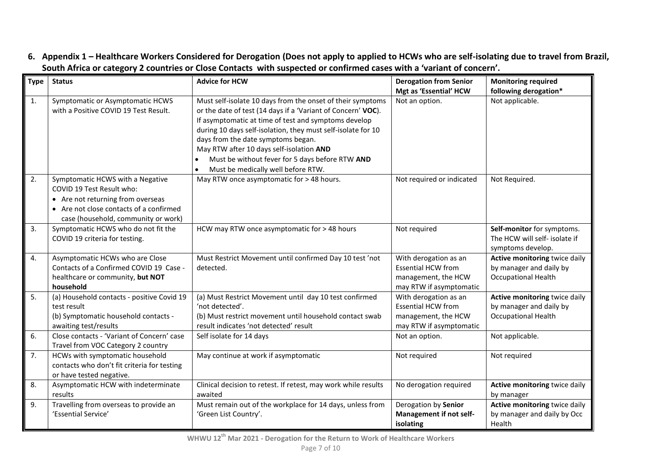**6. Appendix 1 – Healthcare Workers Considered for Derogation (Does not apply to applied to HCWs who are self-isolating due to travel from Brazil, South Africa or category 2 countries or Close Contacts with suspected or confirmed cases with a 'variant of concern'.** 

<span id="page-6-0"></span>

| <b>Type</b>    | <b>Status</b>                                                                                                                                                                        | <b>Advice for HCW</b>                                                                                                                                                                                                                                                                                                                                                                                                         | <b>Derogation from Senior</b><br>Mgt as 'Essential' HCW                                              | <b>Monitoring required</b><br>following derogation*                                    |
|----------------|--------------------------------------------------------------------------------------------------------------------------------------------------------------------------------------|-------------------------------------------------------------------------------------------------------------------------------------------------------------------------------------------------------------------------------------------------------------------------------------------------------------------------------------------------------------------------------------------------------------------------------|------------------------------------------------------------------------------------------------------|----------------------------------------------------------------------------------------|
| $\mathbf{1}$ . | Symptomatic or Asymptomatic HCWS<br>with a Positive COVID 19 Test Result.                                                                                                            | Must self-isolate 10 days from the onset of their symptoms<br>or the date of test (14 days if a 'Variant of Concern' VOC).<br>If asymptomatic at time of test and symptoms develop<br>during 10 days self-isolation, they must self-isolate for 10<br>days from the date symptoms began.<br>May RTW after 10 days self-isolation AND<br>Must be without fever for 5 days before RTW AND<br>Must be medically well before RTW. | Not an option.                                                                                       | Not applicable.                                                                        |
| 2.             | Symptomatic HCWS with a Negative<br>COVID 19 Test Result who:<br>• Are not returning from overseas<br>• Are not close contacts of a confirmed<br>case (household, community or work) | May RTW once asymptomatic for > 48 hours.                                                                                                                                                                                                                                                                                                                                                                                     | Not required or indicated                                                                            | Not Required.                                                                          |
| 3.             | Symptomatic HCWS who do not fit the<br>COVID 19 criteria for testing.                                                                                                                | HCW may RTW once asymptomatic for > 48 hours                                                                                                                                                                                                                                                                                                                                                                                  | Not required                                                                                         | Self-monitor for symptoms.<br>The HCW will self- isolate if<br>symptoms develop.       |
| 4.             | Asymptomatic HCWs who are Close<br>Contacts of a Confirmed COVID 19 Case -<br>healthcare or community, but NOT<br>household                                                          | Must Restrict Movement until confirmed Day 10 test 'not<br>detected.                                                                                                                                                                                                                                                                                                                                                          | With derogation as an<br><b>Essential HCW from</b><br>management, the HCW<br>may RTW if asymptomatic | Active monitoring twice daily<br>by manager and daily by<br><b>Occupational Health</b> |
| 5.             | (a) Household contacts - positive Covid 19<br>test result<br>(b) Symptomatic household contacts -<br>awaiting test/results                                                           | (a) Must Restrict Movement until day 10 test confirmed<br>'not detected'.<br>(b) Must restrict movement until household contact swab<br>result indicates 'not detected' result                                                                                                                                                                                                                                                | With derogation as an<br><b>Essential HCW from</b><br>management, the HCW<br>may RTW if asymptomatic | Active monitoring twice daily<br>by manager and daily by<br>Occupational Health        |
| 6.             | Close contacts - 'Variant of Concern' case<br>Travel from VOC Category 2 country                                                                                                     | Self isolate for 14 days                                                                                                                                                                                                                                                                                                                                                                                                      | Not an option.                                                                                       | Not applicable.                                                                        |
| 7.             | HCWs with symptomatic household<br>contacts who don't fit criteria for testing<br>or have tested negative.                                                                           | May continue at work if asymptomatic                                                                                                                                                                                                                                                                                                                                                                                          | Not required                                                                                         | Not required                                                                           |
| 8.             | Asymptomatic HCW with indeterminate<br>results                                                                                                                                       | Clinical decision to retest. If retest, may work while results<br>awaited                                                                                                                                                                                                                                                                                                                                                     | No derogation required                                                                               | Active monitoring twice daily<br>by manager                                            |
| 9.             | Travelling from overseas to provide an<br>'Essential Service'                                                                                                                        | Must remain out of the workplace for 14 days, unless from<br>'Green List Country'.                                                                                                                                                                                                                                                                                                                                            | Derogation by Senior<br>Management if not self-<br>isolating                                         | Active monitoring twice daily<br>by manager and daily by Occ<br>Health                 |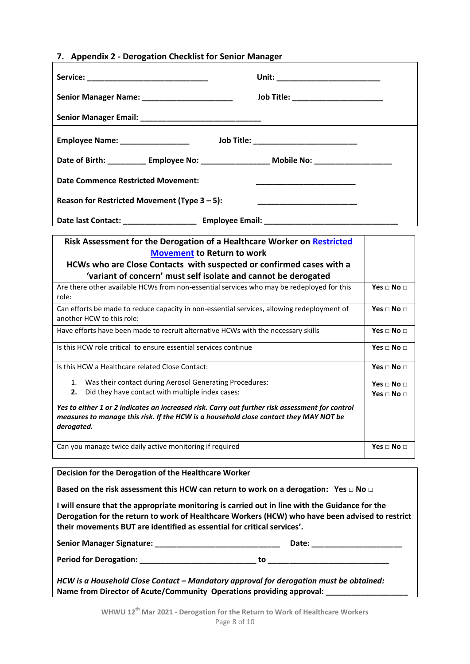<span id="page-7-0"></span>

|  |  |  | 7. Appendix 2 - Derogation Checklist for Senior Manager |  |  |
|--|--|--|---------------------------------------------------------|--|--|
|--|--|--|---------------------------------------------------------|--|--|

| Senior Manager Name: ________________________                                                                                                                                                                                                                                |                                            |                          |
|------------------------------------------------------------------------------------------------------------------------------------------------------------------------------------------------------------------------------------------------------------------------------|--------------------------------------------|--------------------------|
|                                                                                                                                                                                                                                                                              |                                            |                          |
| Employee Name: ___________________                                                                                                                                                                                                                                           | Job Title: _______________________________ |                          |
| Date of Birth: ____________ Employee No: _____________________ Mobile No: _________________________                                                                                                                                                                          |                                            |                          |
| <b>Date Commence Restricted Movement:</b>                                                                                                                                                                                                                                    |                                            |                          |
| Reason for Restricted Movement (Type $3 - 5$ ):                                                                                                                                                                                                                              |                                            |                          |
|                                                                                                                                                                                                                                                                              |                                            |                          |
| Risk Assessment for the Derogation of a Healthcare Worker on Restricted<br><b>Movement to Return to work</b><br>HCWs who are Close Contacts with suspected or confirmed cases with a<br>'variant of concern' must self isolate and cannot be derogated                       |                                            |                          |
| Are there other available HCWs from non-essential services who may be redeployed for this                                                                                                                                                                                    |                                            | Yes $\Box$ No $\Box$     |
| role:                                                                                                                                                                                                                                                                        |                                            |                          |
| Can efforts be made to reduce capacity in non-essential services, allowing redeployment of<br>another HCW to this role:                                                                                                                                                      |                                            | Yes $\Box$ No $\Box$     |
| Have efforts have been made to recruit alternative HCWs with the necessary skills                                                                                                                                                                                            |                                            | Yes $\sqcap$ No $\sqcap$ |
| Is this HCW role critical to ensure essential services continue                                                                                                                                                                                                              |                                            | Yes $\Box$ No $\Box$     |
| Is this HCW a Healthcare related Close Contact:                                                                                                                                                                                                                              |                                            | Yes $\Box$ No $\Box$     |
| Was their contact during Aerosol Generating Procedures:<br>1.<br>Did they have contact with multiple index cases:<br>2.                                                                                                                                                      |                                            | Yes $\sqcap$ No $\sqcap$ |
| Yes to either 1 or 2 indicates an increased risk. Carry out further risk assessment for control<br>measures to manage this risk. If the HCW is a household close contact they MAY NOT be<br>derogated.                                                                       |                                            | Yes $\Box$ No $\Box$     |
| Can you manage twice daily active monitoring if required                                                                                                                                                                                                                     |                                            | Yes $\Box$ No $\Box$     |
| <b>Decision for the Derogation of the Healthcare Worker</b>                                                                                                                                                                                                                  |                                            |                          |
| Based on the risk assessment this HCW can return to work on a derogation: Yes $\Box$ No $\Box$                                                                                                                                                                               |                                            |                          |
| I will ensure that the appropriate monitoring is carried out in line with the Guidance for the<br>Derogation for the return to work of Healthcare Workers (HCW) who have been advised to restrict<br>their movements BUT are identified as essential for critical services'. |                                            |                          |

| <b>Senior Manager Signature:</b> | Date:                                                                                  |
|----------------------------------|----------------------------------------------------------------------------------------|
| <b>Period for Derogation:</b>    | tο                                                                                     |
|                                  | HCW is a Household Close Contact – Mandatory approval for derogation must be obtained: |

**Name from Director of Acute/Community Operations providing approval: \_\_\_\_\_\_\_\_\_\_\_\_\_\_\_\_\_\_\_**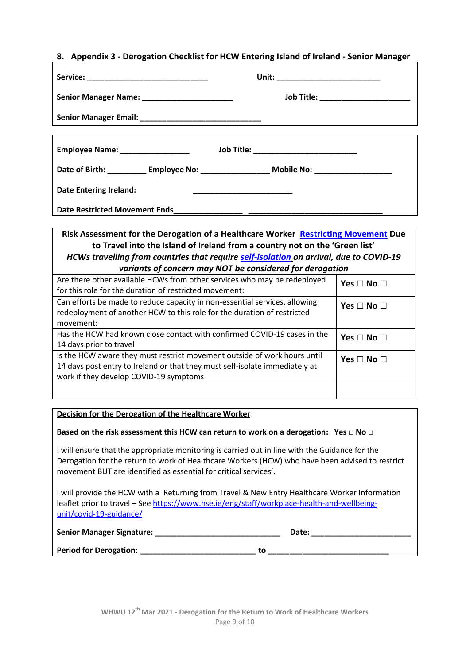#### <span id="page-8-0"></span>**8. Appendix 3 - Derogation Checklist for HCW Entering Island of Ireland - Senior Manager**

|                                                | Unit: ___________________________                                                                   |  |
|------------------------------------------------|-----------------------------------------------------------------------------------------------------|--|
| Senior Manager Name: _________________________ | Job Title: ______________________                                                                   |  |
|                                                |                                                                                                     |  |
|                                                |                                                                                                     |  |
| Employee Name: __________________              | Job Title: ____________________________                                                             |  |
|                                                | Date of Birth: ____________ Employee No: ______________________ Mobile No: ________________________ |  |
| <b>Date Entering Ireland:</b>                  | <u> 1989 - Johann John Stone, markin amerikan ba</u>                                                |  |
| Date Restricted Movement Ends________________  |                                                                                                     |  |

#### **Risk Assessment for the Derogation of a Healthcare Worker [Restricting Movement](https://www.gov.ie/en/publication/b4020-travelling-to-ireland-during-the-covid-19-pandemic/) Due to Travel into the Island of Ireland from a country not on the 'Green list'** *HCWs travelling from countries that require [self-isolation](https://www2.hse.ie/conditions/coronavirus/self-isolation/how-to-self-isolate.html) on arrival, due to COVID-19 variants of concern may NOT be considered for derogation*

| <u>Variants of concern may NOT be considered for derogation</u>             |                      |
|-----------------------------------------------------------------------------|----------------------|
| Are there other available HCWs from other services who may be redeployed    | Yes $\Box$ No $\Box$ |
| for this role for the duration of restricted movement:                      |                      |
| Can efforts be made to reduce capacity in non-essential services, allowing  | Yes $\Box$ No $\Box$ |
| redeployment of another HCW to this role for the duration of restricted     |                      |
| movement:                                                                   |                      |
| Has the HCW had known close contact with confirmed COVID-19 cases in the    | Yes $\Box$ No $\Box$ |
| 14 days prior to travel                                                     |                      |
| Is the HCW aware they must restrict movement outside of work hours until    | Yes $\Box$ No $\Box$ |
| 14 days post entry to Ireland or that they must self-isolate immediately at |                      |
| work if they develop COVID-19 symptoms                                      |                      |
|                                                                             |                      |
|                                                                             |                      |

#### **Decision for the Derogation of the Healthcare Worker**

#### **Based on the risk assessment this HCW can return to work on a derogation: Yes □ No □**

I will ensure that the appropriate monitoring is carried out in line with the Guidance for the Derogation for the return to work of Healthcare Workers (HCW) who have been advised to restrict movement BUT are identified as essential for critical services'.

I will provide the HCW with a Returning from Travel & New Entry Healthcare Worker Information leaflet prior to travel - Se[e https://www.hse.ie/eng/staff/workplace-health-and-wellbeing](https://www.hse.ie/eng/staff/workplace-health-and-wellbeing-unit/covid-19-guidance/)[unit/covid-19-guidance/](https://www.hse.ie/eng/staff/workplace-health-and-wellbeing-unit/covid-19-guidance/)

| Senior Manager Signature: | Date: |  |
|---------------------------|-------|--|
|                           |       |  |

**Period for Derogation: \_\_\_\_\_\_\_\_\_\_\_\_\_\_\_\_\_\_\_\_\_\_\_\_\_\_\_ to \_\_\_\_\_\_\_\_\_\_\_\_\_\_\_\_\_\_\_\_\_\_\_\_\_\_\_\_**